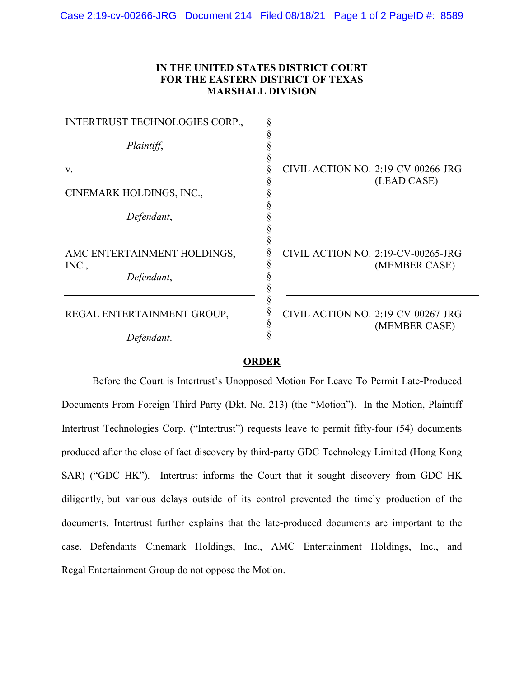## **IN THE UNITED STATES DISTRICT COURT FOR THE EASTERN DISTRICT OF TEXAS MARSHALL DIVISION**

| INTERTRUST TECHNOLOGIES CORP.,                     |                                                     |
|----------------------------------------------------|-----------------------------------------------------|
| Plaintiff,                                         |                                                     |
| V.                                                 | CIVIL ACTION NO. 2:19-CV-00266-JRG<br>(LEAD CASE)   |
| CINEMARK HOLDINGS, INC.,                           |                                                     |
| Defendant,                                         |                                                     |
| AMC ENTERTAINMENT HOLDINGS,<br>INC.,<br>Defendant, | CIVIL ACTION NO. 2:19-CV-00265-JRG<br>(MEMBER CASE) |
| REGAL ENTERTAINMENT GROUP,                         | CIVIL ACTION NO. 2:19-CV-00267-JRG<br>(MEMBER CASE) |
| Defendant.                                         |                                                     |

## **ORDER**

Before the Court is Intertrust's Unopposed Motion For Leave To Permit Late-Produced Documents From Foreign Third Party (Dkt. No. 213) (the "Motion"). In the Motion, Plaintiff Intertrust Technologies Corp. ("Intertrust") requests leave to permit fifty-four (54) documents produced after the close of fact discovery by third-party GDC Technology Limited (Hong Kong SAR) ("GDC HK"). Intertrust informs the Court that it sought discovery from GDC HK diligently, but various delays outside of its control prevented the timely production of the documents. Intertrust further explains that the late-produced documents are important to the case. Defendants Cinemark Holdings, Inc., AMC Entertainment Holdings, Inc., and Regal Entertainment Group do not oppose the Motion.